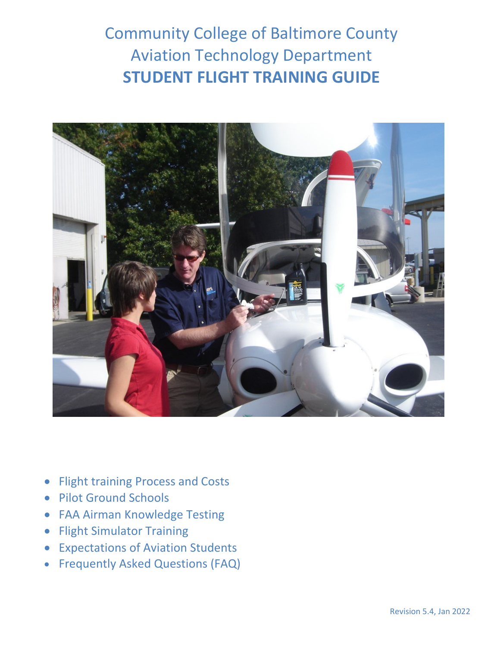Community College of Baltimore County Aviation Technology Department **STUDENT FLIGHT TRAINING GUIDE**



- Flight training Process and Costs
- Pilot Ground Schools
- FAA Airman Knowledge Testing
- Flight Simulator Training
- Expectations of Aviation Students
- Frequently Asked Questions (FAQ)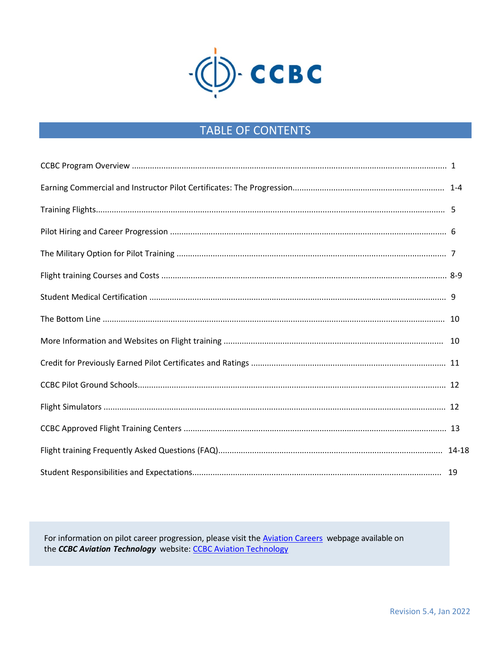

# **TABLE OF CONTENTS**

For information on pilot career progression, please visit the Aviation Careers webpage available on the CCBC Aviation Technology website: CCBC Aviation Technology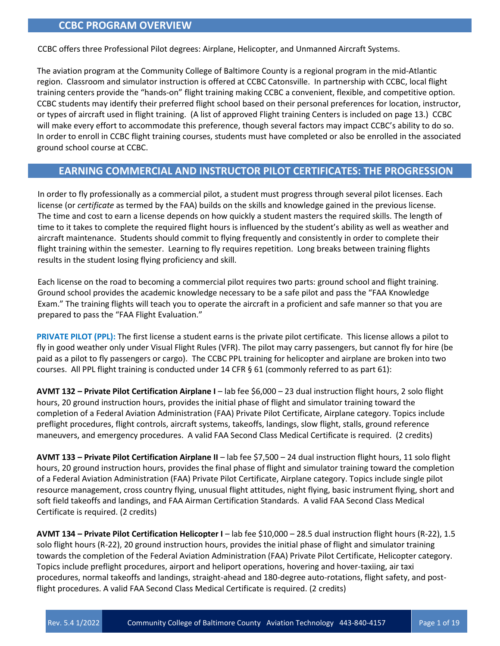# **CCBC PROGRAM OVERVIEW**

CCBC offers three Professional Pilot degrees: Airplane, Helicopter, and Unmanned Aircraft Systems.

The aviation program at the Community College of Baltimore County is a regional program in the mid-Atlantic region. Classroom and simulator instruction is offered at CCBC Catonsville. In partnership with CCBC, local flight training centers provide the "hands-on" flight training making CCBC a convenient, flexible, and competitive option. CCBC students may identify their preferred flight school based on their personal preferences for location, instructor, or types of aircraft used in flight training. (A list of approved Flight training Centers is included on page 13.) CCBC will make every effort to accommodate this preference, though several factors may impact CCBC's ability to do so. In order to enroll in CCBC flight training courses, students must have completed or also be enrolled in the associated ground school course at CCBC.

# **EARNING COMMERCIAL AND INSTRUCTOR PILOT CERTIFICATES: THE PROGRESSION**

In order to fly professionally as a commercial pilot, a student must progress through several pilot licenses. Each license (or *certificate* as termed by the FAA) builds on the skills and knowledge gained in the previous license. The time and cost to earn a license depends on how quickly a student masters the required skills. The length of time to it takes to complete the required flight hours is influenced by the student's ability as well as weather and aircraft maintenance. Students should commit to flying frequently and consistently in order to complete their flight training within the semester. Learning to fly requires repetition. Long breaks between training flights results in the student losing flying proficiency and skill.

Each license on the road to becoming a commercial pilot requires two parts: ground school and flight training. Ground school provides the academic knowledge necessary to be a safe pilot and pass the "FAA Knowledge Exam." The training flights will teach you to operate the aircraft in a proficient and safe manner so that you are prepared to pass the "FAA Flight Evaluation."

**PRIVATE PILOT (PPL):** The first license a student earns is the private pilot certificate. This license allows a pilot to fly in good weather only under Visual Flight Rules (VFR). The pilot may carry passengers, but cannot fly for hire (be paid as a pilot to fly passengers or cargo). The CCBC PPL training for helicopter and airplane are broken into two courses. All PPL flight training is conducted under 14 CFR § 61 (commonly referred to as part 61):

**AVMT 132 – Private Pilot Certification Airplane I** – lab fee \$6,000 – 23 dual instruction flight hours, 2 solo flight hours, 20 ground instruction hours, provides the initial phase of flight and simulator training toward the completion of a Federal Aviation Administration (FAA) Private Pilot Certificate, Airplane category. Topics include preflight procedures, flight controls, aircraft systems, takeoffs, landings, slow flight, stalls, ground reference maneuvers, and emergency procedures. A valid FAA Second Class Medical Certificate is required. (2 credits)

**AVMT 133 – Private Pilot Certification Airplane II** – lab fee \$7,500 – 24 dual instruction flight hours, 11 solo flight hours, 20 ground instruction hours, provides the final phase of flight and simulator training toward the completion of a Federal Aviation Administration (FAA) Private Pilot Certificate, Airplane category. Topics include single pilot resource management, cross country flying, unusual flight attitudes, night flying, basic instrument flying, short and soft field takeoffs and landings, and FAA Airman Certification Standards. A valid FAA Second Class Medical Certificate is required. (2 credits)

**AVMT 134 – Private Pilot Certification Helicopter I** – lab fee \$10,000 – 28.5 dual instruction flight hours (R-22), 1.5 solo flight hours (R-22), 20 ground instruction hours, provides the initial phase of flight and simulator training towards the completion of the Federal Aviation Administration (FAA) Private Pilot Certificate, Helicopter category. Topics include preflight procedures, airport and heliport operations, hovering and hover-taxiing, air taxi procedures, normal takeoffs and landings, straight-ahead and 180-degree auto-rotations, flight safety, and postflight procedures. A valid FAA Second Class Medical Certificate is required. (2 credits)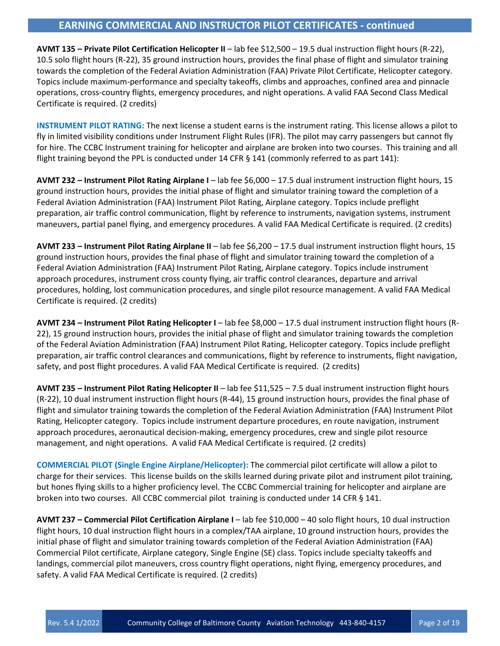# **EARNING COMMERCIAL AND INSTRUCTOR PILOT CERTIFICATES - continued**

**AVMT 135 – Private Pilot Certification Helicopter II** – lab fee \$12,500 – 19.5 dual instruction flight hours (R-22), 10.5 solo flight hours (R-22), 35 ground instruction hours, provides the final phase of flight and simulator training towards the completion of the Federal Aviation Administration (FAA) Private Pilot Certificate, Helicopter category. Topics include maximum-performance and specialty takeoffs, climbs and approaches, confined area and pinnacle operations, cross-country flights, emergency procedures, and night operations. A valid FAA Second Class Medical Certificate is required. (2 credits)

**INSTRUMENT PILOT RATING:** The next license a student earns is the instrument rating. This license allows a pilot to fly in limited visibility conditions under Instrument Flight Rules (IFR). The pilot may carry passengers but cannot fly for hire. The CCBC Instrument training for helicopter and airplane are broken into two courses. This training and all flight training beyond the PPL is conducted under 14 CFR § 141 (commonly referred to as part 141):

**AVMT 232 – Instrument Pilot Rating Airplane I** – lab fee \$6,000 – 17.5 dual instrument instruction flight hours, 15 ground instruction hours, provides the initial phase of flight and simulator training toward the completion of a Federal Aviation Administration (FAA) Instrument Pilot Rating, Airplane category. Topics include preflight preparation, air traffic control communication, flight by reference to instruments, navigation systems, instrument maneuvers, partial panel flying, and emergency procedures. A valid FAA Medical Certificate is required. (2 credits)

**AVMT 233 – Instrument Pilot Rating Airplane II** – lab fee \$6,200 – 17.5 dual instrument instruction flight hours, 15 ground instruction hours, provides the final phase of flight and simulator training toward the completion of a Federal Aviation Administration (FAA) Instrument Pilot Rating, Airplane category. Topics include instrument approach procedures, instrument cross county flying, air traffic control clearances, departure and arrival procedures, holding, lost communication procedures, and single pilot resource management. A valid FAA Medical Certificate is required. (2 credits)

**AVMT 234 – Instrument Pilot Rating Helicopter I** – lab fee \$8,000 – 17.5 dual instrument instruction flight hours (R-22), 15 ground instruction hours, provides the initial phase of flight and simulator training towards the completion of the Federal Aviation Administration (FAA) Instrument Pilot Rating, Helicopter category. Topics include preflight preparation, air traffic control clearances and communications, flight by reference to instruments, flight navigation, safety, and post flight procedures. A valid FAA Medical Certificate is required. (2 credits)

**AVMT 235 – Instrument Pilot Rating Helicopter II** – lab fee \$11,525 – 7.5 dual instrument instruction flight hours (R-22), 10 dual instrument instruction flight hours (R-44), 15 ground instruction hours, provides the final phase of flight and simulator training towards the completion of the Federal Aviation Administration (FAA) Instrument Pilot Rating, Helicopter category. Topics include instrument departure procedures, en route navigation, instrument approach procedures, aeronautical decision-making, emergency procedures, crew and single pilot resource management, and night operations. A valid FAA Medical Certificate is required. (2 credits)

**COMMERCIAL PILOT (Single Engine Airplane/Helicopter):** The commercial pilot certificate will allow a pilot to charge for their services. This license builds on the skills learned during private pilot and instrument pilot training, but hones flying skills to a higher proficiency level. The CCBC Commercial training for helicopter and airplane are broken into two courses. All CCBC commercial pilot training is conducted under 14 CFR § 141.

**AVMT 237 – Commercial Pilot Certification Airplane I** – lab fee \$10,000 – 40 solo flight hours, 10 dual instruction flight hours, 10 dual instruction flight hours in a complex/TAA airplane, 10 ground instruction hours, provides the initial phase of flight and simulator training towards completion of the Federal Aviation Administration (FAA) Commercial Pilot certificate, Airplane category, Single Engine (SE) class. Topics include specialty takeoffs and landings, commercial pilot maneuvers, cross country flight operations, night flying, emergency procedures, and safety. A valid FAA Medical Certificate is required. (2 credits)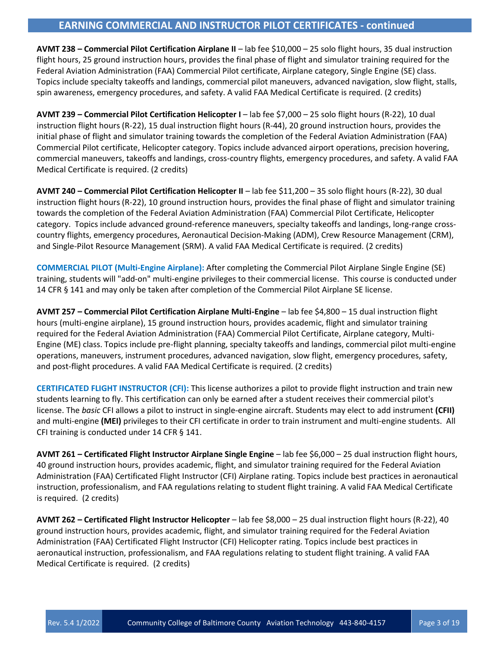# **EARNING COMMERCIAL AND INSTRUCTOR PILOT CERTIFICATES - continued**

**AVMT 238 – Commercial Pilot Certification Airplane II** – lab fee \$10,000 – 25 solo flight hours, 35 dual instruction flight hours, 25 ground instruction hours, provides the final phase of flight and simulator training required for the Federal Aviation Administration (FAA) Commercial Pilot certificate, Airplane category, Single Engine (SE) class. Topics include specialty takeoffs and landings, commercial pilot maneuvers, advanced navigation, slow flight, stalls, spin awareness, emergency procedures, and safety. A valid FAA Medical Certificate is required. (2 credits)

**AVMT 239 – Commercial Pilot Certification Helicopter I** – lab fee \$7,000 – 25 solo flight hours (R-22), 10 dual instruction flight hours (R-22), 15 dual instruction flight hours (R-44), 20 ground instruction hours, provides the initial phase of flight and simulator training towards the completion of the Federal Aviation Administration (FAA) Commercial Pilot certificate, Helicopter category. Topics include advanced airport operations, precision hovering, commercial maneuvers, takeoffs and landings, cross-country flights, emergency procedures, and safety. A valid FAA Medical Certificate is required. (2 credits)

**AVMT 240 – Commercial Pilot Certification Helicopter II** – lab fee \$11,200 – 35 solo flight hours (R-22), 30 dual instruction flight hours (R-22), 10 ground instruction hours, provides the final phase of flight and simulator training towards the completion of the Federal Aviation Administration (FAA) Commercial Pilot Certificate, Helicopter category. Topics include advanced ground-reference maneuvers, specialty takeoffs and landings, long-range crosscountry flights, emergency procedures, Aeronautical Decision-Making (ADM), Crew Resource Management (CRM), and Single-Pilot Resource Management (SRM). A valid FAA Medical Certificate is required. (2 credits)

**COMMERCIAL PILOT (Multi-Engine Airplane):** After completing the Commercial Pilot Airplane Single Engine (SE) training, students will "add-on" multi-engine privileges to their commercial license. This course is conducted under 14 CFR § 141 and may only be taken after completion of the Commercial Pilot Airplane SE license.

**AVMT 257 – Commercial Pilot Certification Airplane Multi-Engine** – lab fee \$4,800 – 15 dual instruction flight hours (multi-engine airplane), 15 ground instruction hours, provides academic, flight and simulator training required for the Federal Aviation Administration (FAA) Commercial Pilot Certificate, Airplane category, Multi-Engine (ME) class. Topics include pre-flight planning, specialty takeoffs and landings, commercial pilot multi-engine operations, maneuvers, instrument procedures, advanced navigation, slow flight, emergency procedures, safety, and post-flight procedures. A valid FAA Medical Certificate is required. (2 credits)

**CERTIFICATED FLIGHT INSTRUCTOR (CFI):** This license authorizes a pilot to provide flight instruction and train new students learning to fly. This certification can only be earned after a student receives their commercial pilot's license. The *basic* CFI allows a pilot to instruct in single-engine aircraft. Students may elect to add instrument **(CFII)**  and multi-engine **(MEI)** privileges to their CFI certificate in order to train instrument and multi-engine students. All CFI training is conducted under 14 CFR § 141.

**AVMT 261 – Certificated Flight Instructor Airplane Single Engine** – lab fee \$6,000 – 25 dual instruction flight hours, 40 ground instruction hours, provides academic, flight, and simulator training required for the Federal Aviation Administration (FAA) Certificated Flight Instructor (CFI) Airplane rating. Topics include best practices in aeronautical instruction, professionalism, and FAA regulations relating to student flight training. A valid FAA Medical Certificate is required. (2 credits)

**AVMT 262 – Certificated Flight Instructor Helicopter** – lab fee \$8,000 – 25 dual instruction flight hours (R-22), 40 ground instruction hours, provides academic, flight, and simulator training required for the Federal Aviation Administration (FAA) Certificated Flight Instructor (CFI) Helicopter rating. Topics include best practices in aeronautical instruction, professionalism, and FAA regulations relating to student flight training. A valid FAA Medical Certificate is required. (2 credits)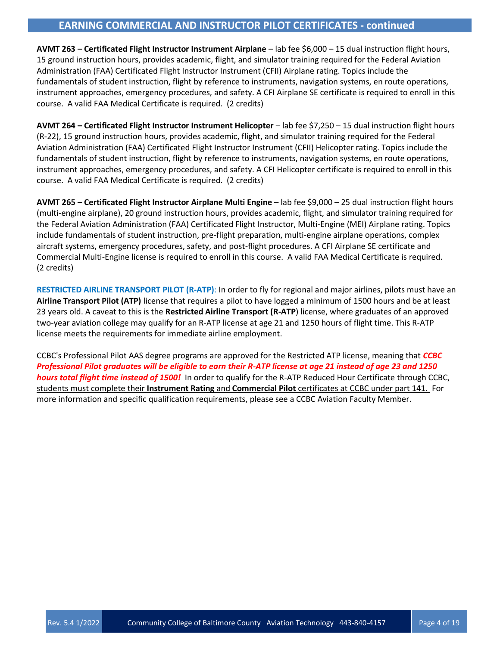# **EARNING COMMERCIAL AND INSTRUCTOR PILOT CERTIFICATES - continued**

**AVMT 263 – Certificated Flight Instructor Instrument Airplane** – lab fee \$6,000 – 15 dual instruction flight hours, 15 ground instruction hours, provides academic, flight, and simulator training required for the Federal Aviation Administration (FAA) Certificated Flight Instructor Instrument (CFII) Airplane rating. Topics include the fundamentals of student instruction, flight by reference to instruments, navigation systems, en route operations, instrument approaches, emergency procedures, and safety. A CFI Airplane SE certificate is required to enroll in this course. A valid FAA Medical Certificate is required. (2 credits)

**AVMT 264 – Certificated Flight Instructor Instrument Helicopter** – lab fee \$7,250 – 15 dual instruction flight hours (R-22), 15 ground instruction hours, provides academic, flight, and simulator training required for the Federal Aviation Administration (FAA) Certificated Flight Instructor Instrument (CFII) Helicopter rating. Topics include the fundamentals of student instruction, flight by reference to instruments, navigation systems, en route operations, instrument approaches, emergency procedures, and safety. A CFI Helicopter certificate is required to enroll in this course. A valid FAA Medical Certificate is required. (2 credits)

**AVMT 265 – Certificated Flight Instructor Airplane Multi Engine** – lab fee \$9,000 – 25 dual instruction flight hours (multi-engine airplane), 20 ground instruction hours, provides academic, flight, and simulator training required for the Federal Aviation Administration (FAA) Certificated Flight Instructor, Multi-Engine (MEI) Airplane rating. Topics include fundamentals of student instruction, pre-flight preparation, multi-engine airplane operations, complex aircraft systems, emergency procedures, safety, and post-flight procedures. A CFI Airplane SE certificate and Commercial Multi-Engine license is required to enroll in this course. A valid FAA Medical Certificate is required. (2 credits)

**RESTRICTED AIRLINE TRANSPORT PILOT (R-ATP)**: In order to fly for regional and major airlines, pilots must have an **Airline Transport Pilot (ATP)** license that requires a pilot to have logged a minimum of 1500 hours and be at least 23 years old. A caveat to this is the **Restricted Airline Transport (R-ATP**) license, where graduates of an approved two-year aviation college may qualify for an R-ATP license at age 21 and 1250 hours of flight time. This R-ATP license meets the requirements for immediate airline employment.

CCBC's Professional Pilot AAS degree programs are approved for the Restricted ATP license, meaning that *CCBC Professional Pilot graduates will be eligible to earn their R-ATP license at age 21 instead of age 23 and 1250 hours total flight time instead of 1500!* In order to qualify for the R-ATP Reduced Hour Certificate through CCBC, students must complete their **Instrument Rating** and **Commercial Pilot** certificates at CCBC under part 141. For more information and specific qualification requirements, please see a CCBC Aviation Faculty Member.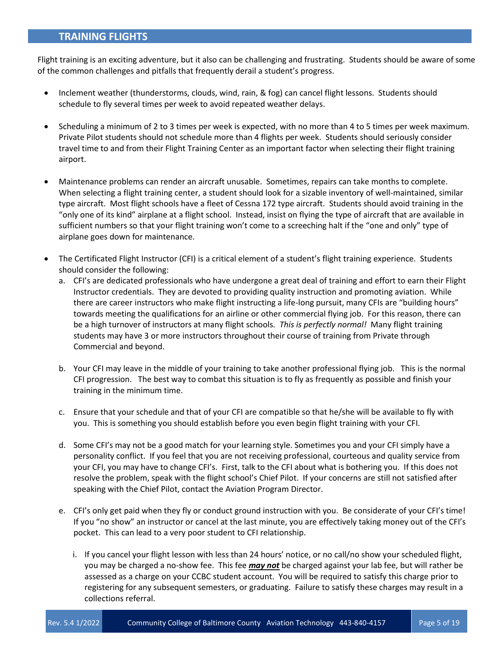# **TRAINING FLIGHTS**

Flight training is an exciting adventure, but it also can be challenging and frustrating. Students should be aware of some of the common challenges and pitfalls that frequently derail a student's progress.

- Inclement weather (thunderstorms, clouds, wind, rain, & fog) can cancel flight lessons. Students should schedule to fly several times per week to avoid repeated weather delays.
- Scheduling a minimum of 2 to 3 times per week is expected, with no more than 4 to 5 times per week maximum. Private Pilot students should not schedule more than 4 flights per week. Students should seriously consider travel time to and from their Flight Training Center as an important factor when selecting their flight training airport.
- Maintenance problems can render an aircraft unusable. Sometimes, repairs can take months to complete. When selecting a flight training center, a student should look for a sizable inventory of well-maintained, similar type aircraft. Most flight schools have a fleet of Cessna 172 type aircraft. Students should avoid training in the "only one of its kind" airplane at a flight school. Instead, insist on flying the type of aircraft that are available in sufficient numbers so that your flight training won't come to a screeching halt if the "one and only" type of airplane goes down for maintenance.
- The Certificated Flight Instructor (CFI) is a critical element of a student's flight training experience. Students should consider the following:
	- a. CFI's are dedicated professionals who have undergone a great deal of training and effort to earn their Flight Instructor credentials. They are devoted to providing quality instruction and promoting aviation. While there are career instructors who make flight instructing a life-long pursuit, many CFIs are "building hours" towards meeting the qualifications for an airline or other commercial flying job. For this reason, there can be a high turnover of instructors at many flight schools. *This is perfectly normal!* Many flight training students may have 3 or more instructors throughout their course of training from Private through Commercial and beyond.
	- b. Your CFI may leave in the middle of your training to take another professional flying job. This is the normal CFI progression. The best way to combat this situation is to fly as frequently as possible and finish your training in the minimum time.
	- c. Ensure that your schedule and that of your CFI are compatible so that he/she will be available to fly with you. This is something you should establish before you even begin flight training with your CFI.
	- d. Some CFI's may not be a good match for your learning style. Sometimes you and your CFI simply have a personality conflict. If you feel that you are not receiving professional, courteous and quality service from your CFI, you may have to change CFI's. First, talk to the CFI about what is bothering you. If this does not resolve the problem, speak with the flight school's Chief Pilot. If your concerns are still not satisfied after speaking with the Chief Pilot, contact the Aviation Program Director.
	- e. CFI's only get paid when they fly or conduct ground instruction with you. Be considerate of your CFI's time! If you "no show" an instructor or cancel at the last minute, you are effectively taking money out of the CFI's pocket. This can lead to a very poor student to CFI relationship.
		- i. If you cancel your flight lesson with less than 24 hours' notice, or no call/no show your scheduled flight, you may be charged a no-show fee. This fee *may not* be charged against your lab fee, but will rather be assessed as a charge on your CCBC student account. You will be required to satisfy this charge prior to registering for any subsequent semesters, or graduating. Failure to satisfy these charges may result in a collections referral.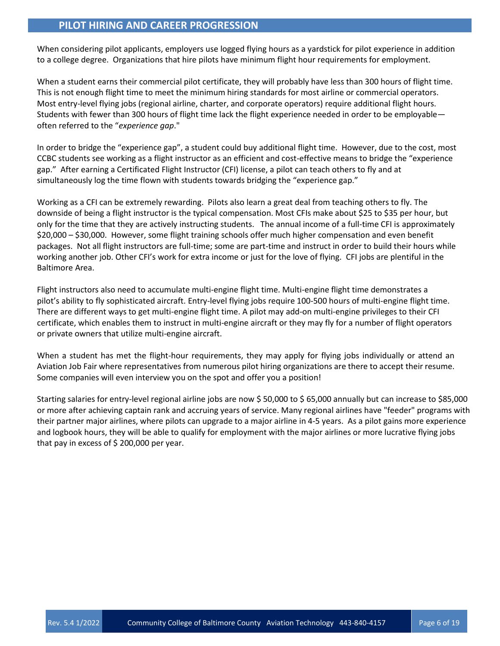# **PILOT HIRING AND CAREER PROGRESSION**

When considering pilot applicants, employers use logged flying hours as a yardstick for pilot experience in addition to a college degree. Organizations that hire pilots have minimum flight hour requirements for employment.

When a student earns their commercial pilot certificate, they will probably have less than 300 hours of flight time. This is not enough flight time to meet the minimum hiring standards for most airline or commercial operators. Most entry-level flying jobs (regional airline, charter, and corporate operators) require additional flight hours. Students with fewer than 300 hours of flight time lack the flight experience needed in order to be employable often referred to the "*experience gap*."

In order to bridge the "experience gap", a student could buy additional flight time. However, due to the cost, most CCBC students see working as a flight instructor as an efficient and cost-effective means to bridge the "experience gap." After earning a Certificated Flight Instructor (CFI) license, a pilot can teach others to fly and at simultaneously log the time flown with students towards bridging the "experience gap."

Working as a CFI can be extremely rewarding. Pilots also learn a great deal from teaching others to fly. The downside of being a flight instructor is the typical compensation. Most CFIs make about \$25 to \$35 per hour, but only for the time that they are actively instructing students. The annual income of a full-time CFI is approximately \$20,000 – \$30,000. However, some flight training schools offer much higher compensation and even benefit packages. Not all flight instructors are full-time; some are part-time and instruct in order to build their hours while working another job. Other CFI's work for extra income or just for the love of flying. CFI jobs are plentiful in the Baltimore Area.

Flight instructors also need to accumulate multi-engine flight time. Multi-engine flight time demonstrates a pilot's ability to fly sophisticated aircraft. Entry-level flying jobs require 100-500 hours of multi-engine flight time. There are different ways to get multi-engine flight time. A pilot may add-on multi-engine privileges to their CFI certificate, which enables them to instruct in multi-engine aircraft or they may fly for a number of flight operators or private owners that utilize multi-engine aircraft.

When a student has met the flight-hour requirements, they may apply for flying jobs individually or attend an Aviation Job Fair where representatives from numerous pilot hiring organizations are there to accept their resume. Some companies will even interview you on the spot and offer you a position!

Starting salaries for entry-level regional airline jobs are now \$ 50,000 to \$ 65,000 annually but can increase to \$85,000 or more after achieving captain rank and accruing years of service. Many regional airlines have "feeder" programs with their partner major airlines, where pilots can upgrade to a major airline in 4-5 years. As a pilot gains more experience and logbook hours, they will be able to qualify for employment with the major airlines or more lucrative flying jobs that pay in excess of  $$200,000$  per year.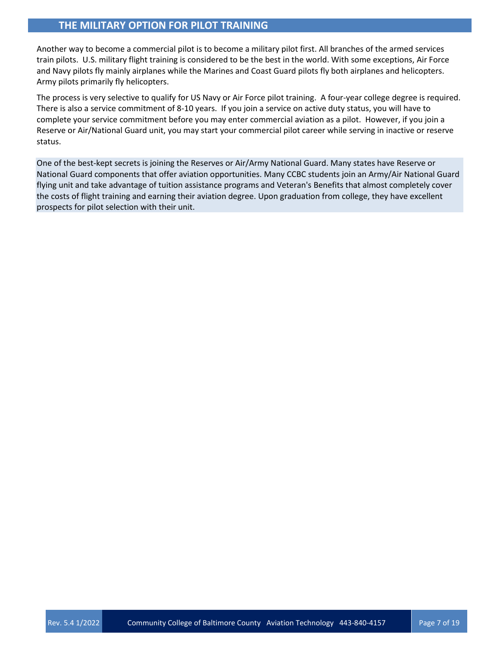# **THE MILITARY OPTION FOR PILOT TRAINING**

Another way to become a commercial pilot is to become a military pilot first. All branches of the armed services train pilots. U.S. military flight training is considered to be the best in the world. With some exceptions, Air Force and Navy pilots fly mainly airplanes while the Marines and Coast Guard pilots fly both airplanes and helicopters. Army pilots primarily fly helicopters.

The process is very selective to qualify for US Navy or Air Force pilot training. A four-year college degree is required. There is also a service commitment of 8-10 years. If you join a service on active duty status, you will have to complete your service commitment before you may enter commercial aviation as a pilot. However, if you join a Reserve or Air/National Guard unit, you may start your commercial pilot career while serving in inactive or reserve status.

One of the best-kept secrets is joining the Reserves or Air/Army National Guard. Many states have Reserve or National Guard components that offer aviation opportunities. Many CCBC students join an Army/Air National Guard flying unit and take advantage of tuition assistance programs and Veteran's Benefits that almost completely cover the costs of flight training and earning their aviation degree. Upon graduation from college, they have excellent prospects for pilot selection with their unit.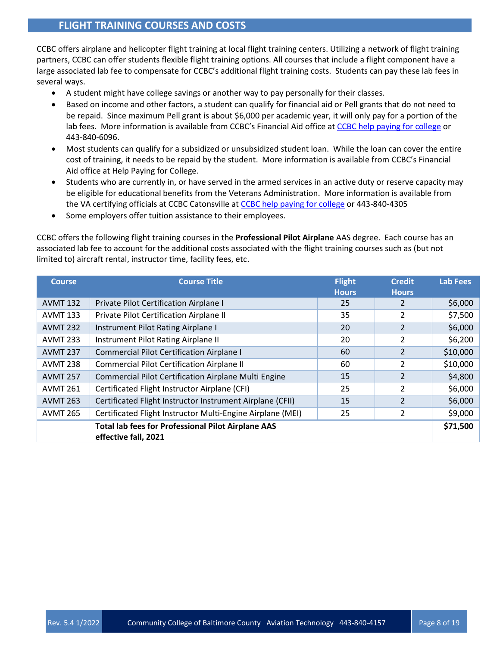# **FLIGHT TRAINING COURSES AND COSTS**

CCBC offers airplane and helicopter flight training at local flight training centers. Utilizing a network of flight training partners, CCBC can offer students flexible flight training options. All courses that include a flight component have a large associated lab fee to compensate for CCBC's additional flight training costs. Students can pay these lab fees in several ways.

- A student might have college savings or another way to pay personally for their classes.
- Based on income and other factors, a student can qualify for financial aid or Pell grants that do not need to be repaid. Since maximum Pell grant is about \$6,000 per academic year, it will only pay for a portion of the lab fees. More information is available from CCBC's Financial Aid office at [CCBC help paying for college](http://www.ccbcmd.edu/costs-and-paying-for-college/help-paying-for-college) or 443-840-6096.
- Most students can qualify for a subsidized or unsubsidized student loan. While the loan can cover the entire cost of training, it needs to be repaid by the student. More information is available from CCBC's Financial Aid office at [Help Paying for College.](http://www.ccbcmd.edu/costs-and-paying-for-college/help-paying-for-college%20or%20443-840-6096)
- Students who are currently in, or have served in the armed services in an active duty or reserve capacity may be eligible for educational benefits from the Veterans Administration. More information is available from the VA certifying officials at CCBC Catonsville at [CCBC help paying for college](http://www.ccbcmd.edu/costs-and-paying-for-college/veterans-benefits) or 443-840-4305
- Some employers offer tuition assistance to their employees.

CCBC offers the following flight training courses in the **Professional Pilot Airplane** AAS degree. Each course has an associated lab fee to account for the additional costs associated with the flight training courses such as (but not limited to) aircraft rental, instructor time, facility fees, etc.

| <b>Course</b>   | <b>Course Title</b>                                                               | <b>Flight</b><br><b>Hours</b> | <b>Credit</b><br><b>Hours</b> | <b>Lab Fees</b> |
|-----------------|-----------------------------------------------------------------------------------|-------------------------------|-------------------------------|-----------------|
| <b>AVMT 132</b> | Private Pilot Certification Airplane I                                            | 25                            |                               | \$6,000         |
| <b>AVMT 133</b> | Private Pilot Certification Airplane II                                           | 35                            | $\mathcal{P}$                 | \$7,500         |
| <b>AVMT 232</b> | Instrument Pilot Rating Airplane I                                                | 20                            |                               | \$6,000         |
| <b>AVMT 233</b> | Instrument Pilot Rating Airplane II                                               | 20                            | $\mathfrak{p}$                | \$6,200         |
| <b>AVMT 237</b> | <b>Commercial Pilot Certification Airplane I</b>                                  | 60                            | $\mathcal{P}$                 | \$10,000        |
| <b>AVMT 238</b> | Commercial Pilot Certification Airplane II                                        | 60                            | $\mathcal{P}$                 | \$10,000        |
| <b>AVMT 257</b> | Commercial Pilot Certification Airplane Multi Engine                              | 15                            | $\overline{2}$                | \$4,800         |
| <b>AVMT 261</b> | Certificated Flight Instructor Airplane (CFI)                                     | 25                            | $\mathcal{P}$                 | \$6,000         |
| <b>AVMT 263</b> | Certificated Flight Instructor Instrument Airplane (CFII)                         | 15                            | $\mathfrak{p}$                | \$6,000         |
| <b>AVMT 265</b> | Certificated Flight Instructor Multi-Engine Airplane (MEI)                        | 25                            | $\mathfrak{p}$                | \$9,000         |
|                 | <b>Total lab fees for Professional Pilot Airplane AAS</b><br>effective fall, 2021 |                               |                               | \$71,500        |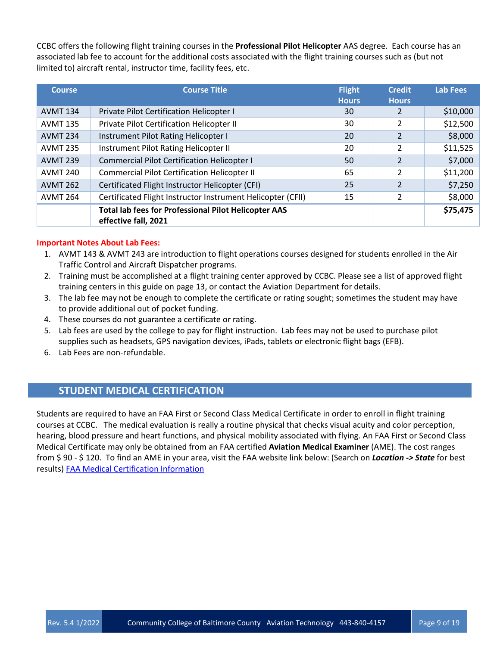CCBC offers the following flight training courses in the **Professional Pilot Helicopter** AAS degree. Each course has an associated lab fee to account for the additional costs associated with the flight training courses such as (but not limited to) aircraft rental, instructor time, facility fees, etc.

| <b>Course</b>   | <b>Course Title</b>                                                                 | <b>Flight</b><br><b>Hours</b> | <b>Credit</b><br><b>Hours</b> | <b>Lab Fees</b> |
|-----------------|-------------------------------------------------------------------------------------|-------------------------------|-------------------------------|-----------------|
| <b>AVMT 134</b> | Private Pilot Certification Helicopter I                                            | 30                            |                               | \$10,000        |
| <b>AVMT 135</b> | Private Pilot Certification Helicopter II                                           | 30                            |                               | \$12,500        |
| <b>AVMT 234</b> | Instrument Pilot Rating Helicopter I                                                | 20                            | 2                             | \$8,000         |
| <b>AVMT 235</b> | Instrument Pilot Rating Helicopter II                                               | 20                            | 2                             | \$11,525        |
| <b>AVMT 239</b> | Commercial Pilot Certification Helicopter I                                         | 50                            | $\overline{\phantom{a}}$      | \$7,000         |
| <b>AVMT 240</b> | <b>Commercial Pilot Certification Helicopter II</b>                                 | 65                            | 2                             | \$11,200        |
| <b>AVMT 262</b> | Certificated Flight Instructor Helicopter (CFI)                                     | 25                            | $\mathfrak{p}$                | \$7,250         |
| <b>AVMT 264</b> | Certificated Flight Instructor Instrument Helicopter (CFII)                         | 15                            | $\overline{\mathcal{L}}$      | \$8,000         |
|                 | <b>Total lab fees for Professional Pilot Helicopter AAS</b><br>effective fall, 2021 |                               |                               | \$75,475        |

#### **Important Notes About Lab Fees:**

- 1. AVMT 143 & AVMT 243 are introduction to flight operations courses designed for students enrolled in the Air Traffic Control and Aircraft Dispatcher programs.
- 2. Training must be accomplished at a flight training center approved by CCBC. Please see a list of approved flight training centers in this guide on page 13, or contact the Aviation Department for details.
- 3. The lab fee may not be enough to complete the certificate or rating sought; sometimes the student may have to provide additional out of pocket funding.
- 4. These courses do not guarantee a certificate or rating.
- 5. Lab fees are used by the college to pay for flight instruction. Lab fees may not be used to purchase pilot supplies such as headsets, GPS navigation devices, iPads, tablets or electronic flight bags (EFB).
- 6. Lab Fees are non-refundable.

# **STUDENT MEDICAL CERTIFICATION**

Students are required to have an FAA First or Second Class Medical Certificate in order to enroll in flight training courses at CCBC. The medical evaluation is really a routine physical that checks visual acuity and color perception, hearing, blood pressure and heart functions, and physical mobility associated with flying. An FAA First or Second Class Medical Certificate may only be obtained from an FAA certified **Aviation Medical Examiner** (AME). The cost ranges from \$ 90 - \$ 120. To find an AME in your area, visit the FAA website link below: (Search on *Location -> State* for best results) [FAA Medical Certification Information](https://www.faa.gov/licenses_certificates/medical_certification/faq/response2/)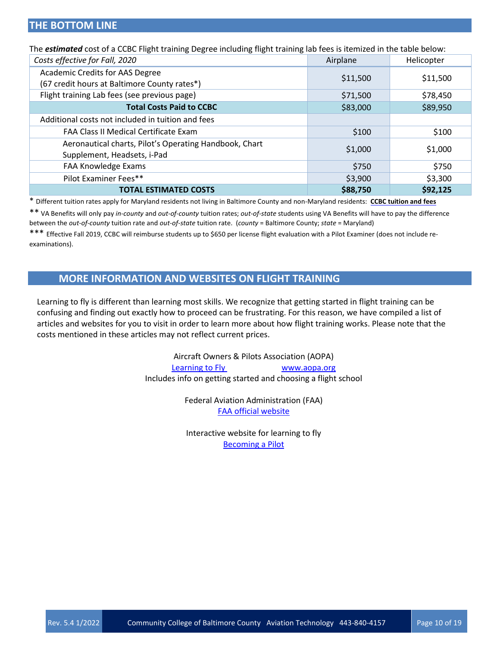| The <i>estimated</i> cost of a CCBC Flight training Degree including flight training lab fees is itemized in the table below: |          |            |  |  |
|-------------------------------------------------------------------------------------------------------------------------------|----------|------------|--|--|
| Costs effective for Fall, 2020                                                                                                | Airplane | Helicopter |  |  |
| Academic Credits for AAS Degree                                                                                               | \$11,500 |            |  |  |
| (67 credit hours at Baltimore County rates*)                                                                                  |          | \$11,500   |  |  |
| Flight training Lab fees (see previous page)                                                                                  | \$71,500 | \$78,450   |  |  |
| <b>Total Costs Paid to CCBC</b>                                                                                               | \$83,000 | \$89,950   |  |  |
| Additional costs not included in tuition and fees                                                                             |          |            |  |  |
| <b>FAA Class II Medical Certificate Exam</b>                                                                                  | \$100    | \$100      |  |  |
| Aeronautical charts, Pilot's Operating Handbook, Chart<br>Supplement, Headsets, i-Pad                                         | \$1,000  | \$1,000    |  |  |
| FAA Knowledge Exams                                                                                                           | \$750    | \$750      |  |  |
| Pilot Examiner Fees**                                                                                                         | \$3,900  | \$3,300    |  |  |
| <b>TOTAL ESTIMATED COSTS</b>                                                                                                  | \$88,750 | \$92,125   |  |  |

\* Different tuition rates apply for Maryland residents not living in Baltimore County and non-Maryland residents: **[CCBC tuition and fees](http://www.ccbcmd.edu/costs-and-paying-for-college/tuition-and-fees)**

\*\* VA Benefits will only pay *in-county* and *out-of-county* tuition rates; *out-of-state* students using VA Benefits will have to pay the difference between the *out-of-county* tuition rate and *out-of-state* tuition rate. (*county* = Baltimore County; *state* = Maryland)

\*\*\* Effective Fall 2019, CCBC will reimburse students up to \$650 per license flight evaluation with a Pilot Examiner (does not include reexaminations).

# **MORE INFORMATION AND WEBSITES ON FLIGHT TRAINING**

Learning to fly is different than learning most skills. We recognize that getting started in flight training can be confusing and finding out exactly how to proceed can be frustrating. For this reason, we have compiled a list of articles and websites for you to visit in order to learn more about how flight training works. Please note that the costs mentioned in these articles may not reflect current prices.

> Aircraft Owners & Pilots Association (AOPA) [Learning to Fly](https://www.aopa.org/training-and-safety/learn-to-fly) [www.aopa.org](http://www.aopa.org/learntofly/index.html) Includes info on getting started and choosing a flight school

> > Federal Aviation Administration (FAA) [FAA official website](http://www.faa.gov/)

Interactive website for learning to fly [Becoming a Pilot](https://www.faa.gov/pilots/become/)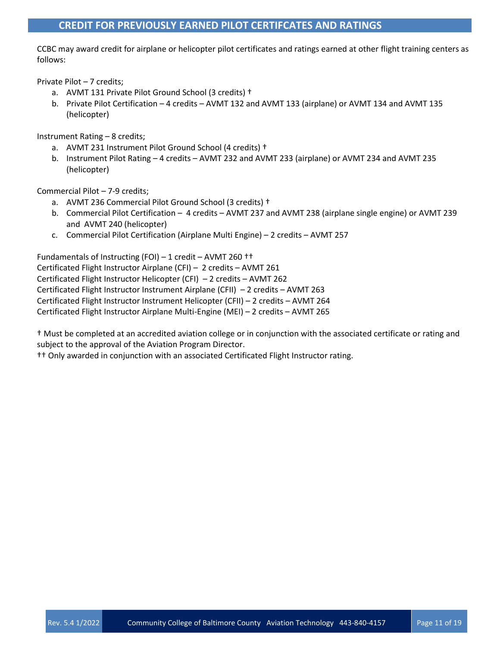# **CREDIT FOR PREVIOUSLY EARNED PILOT CERTIFCATES AND RATINGS**

CCBC may award credit for airplane or helicopter pilot certificates and ratings earned at other flight training centers as follows:

Private Pilot – 7 credits;

- a. AVMT 131 Private Pilot Ground School (3 credits) †
- b. Private Pilot Certification 4 credits AVMT 132 and AVMT 133 (airplane) or AVMT 134 and AVMT 135 (helicopter)

Instrument Rating – 8 credits;

- a. AVMT 231 Instrument Pilot Ground School (4 credits) †
- b. Instrument Pilot Rating 4 credits AVMT 232 and AVMT 233 (airplane) or AVMT 234 and AVMT 235 (helicopter)

Commercial Pilot – 7-9 credits;

- a. AVMT 236 Commercial Pilot Ground School (3 credits) †
- b. Commercial Pilot Certification 4 credits AVMT 237 and AVMT 238 (airplane single engine) or AVMT 239 and AVMT 240 (helicopter)
- c. Commercial Pilot Certification (Airplane Multi Engine) 2 credits AVMT 257

Fundamentals of Instructing (FOI) – 1 credit – AVMT 260 †† Certificated Flight Instructor Airplane (CFI) – 2 credits – AVMT 261 Certificated Flight Instructor Helicopter (CFI) – 2 credits – AVMT 262 Certificated Flight Instructor Instrument Airplane (CFII) – 2 credits – AVMT 263 Certificated Flight Instructor Instrument Helicopter (CFII) – 2 credits – AVMT 264 Certificated Flight Instructor Airplane Multi-Engine (MEI) – 2 credits – AVMT 265

† Must be completed at an accredited aviation college or in conjunction with the associated certificate or rating and subject to the approval of the Aviation Program Director.

†† Only awarded in conjunction with an associated Certificated Flight Instructor rating.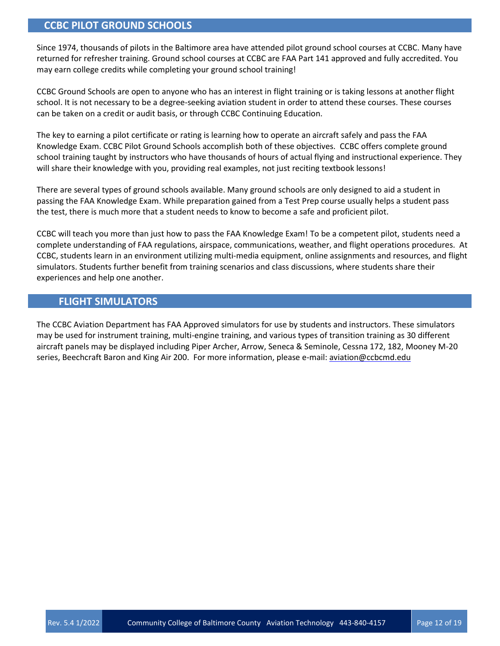# **CCBC PILOT GROUND SCHOOLS**

Since 1974, thousands of pilots in the Baltimore area have attended pilot ground school courses at CCBC. Many have returned for refresher training. Ground school courses at CCBC are FAA Part 141 approved and fully accredited. You may earn college credits while completing your ground school training!

CCBC Ground Schools are open to anyone who has an interest in flight training or is taking lessons at another flight school. It is not necessary to be a degree-seeking aviation student in order to attend these courses. These courses can be taken on a credit or audit basis, or through CCBC Continuing Education.

The key to earning a pilot certificate or rating is learning how to operate an aircraft safely and pass the FAA Knowledge Exam. CCBC Pilot Ground Schools accomplish both of these objectives. CCBC offers complete ground school training taught by instructors who have thousands of hours of actual flying and instructional experience. They will share their knowledge with you, providing real examples, not just reciting textbook lessons!

There are several types of ground schools available. Many ground schools are only designed to aid a student in passing the FAA Knowledge Exam. While preparation gained from a Test Prep course usually helps a student pass the test, there is much more that a student needs to know to become a safe and proficient pilot.

CCBC will teach you more than just how to pass the FAA Knowledge Exam! To be a competent pilot, students need a complete understanding of FAA regulations, airspace, communications, weather, and flight operations procedures. At CCBC, students learn in an environment utilizing multi-media equipment, online assignments and resources, and flight simulators. Students further benefit from training scenarios and class discussions, where students share their experiences and help one another.

# **FLIGHT SIMULATORS**

The CCBC Aviation Department has FAA Approved simulators for use by students and instructors. These simulators may be used for instrument training, multi-engine training, and various types of transition training as 30 different aircraft panels may be displayed including Piper Archer, Arrow, Seneca & Seminole, Cessna 172, 182, Mooney M-20 series, Beechcraft Baron and King Air 200. For more information, please e-mail[: aviation@ccbcmd.edu](mailto:aviation@ccbcmd.edu)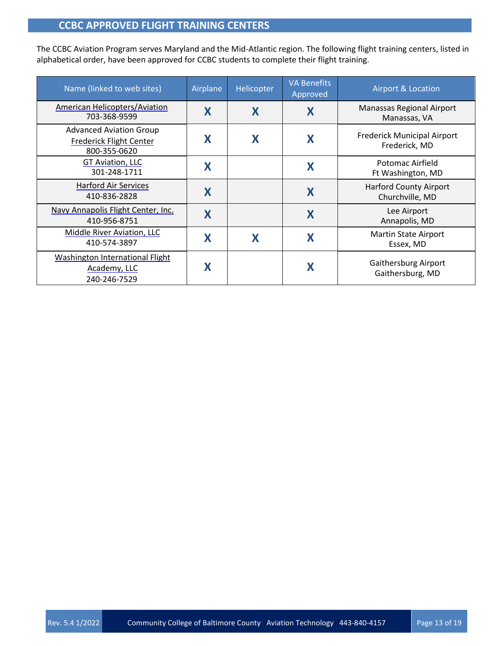# **CCBC APPROVED FLIGHT TRAINING CENTERS**

The CCBC Aviation Program serves Maryland and the Mid-Atlantic region. The following flight training centers, listed in alphabetical order, have been approved for CCBC students to complete their flight training.

| Name (linked to web sites)                                                       | Airplane | Helicopter | <b>VA Benefits</b><br>Approved | <b>Airport &amp; Location</b>                       |
|----------------------------------------------------------------------------------|----------|------------|--------------------------------|-----------------------------------------------------|
| <b>American Helicopters/Aviation</b><br>703-368-9599                             | X        | X          | X                              | Manassas Regional Airport<br>Manassas, VA           |
| <b>Advanced Aviation Group</b><br><b>Frederick Flight Center</b><br>800-355-0620 |          | X          | X                              | <b>Frederick Municipal Airport</b><br>Frederick, MD |
| GT Aviation, LLC<br>301-248-1711                                                 |          |            | X                              | Potomac Airfield<br>Ft Washington, MD               |
| <b>Harford Air Services</b><br>410-836-2828                                      | X        |            | X                              | <b>Harford County Airport</b><br>Churchville, MD    |
| Navy Annapolis Flight Center, Inc.<br>410-956-8751                               | X        |            | X                              | Lee Airport<br>Annapolis, MD                        |
| Middle River Aviation, LLC<br>410-574-3897                                       |          | X          | X                              | <b>Martin State Airport</b><br>Essex, MD            |
| <b>Washington International Flight</b><br>Academy, LLC<br>240-246-7529           |          |            | X                              | Gaithersburg Airport<br>Gaithersburg, MD            |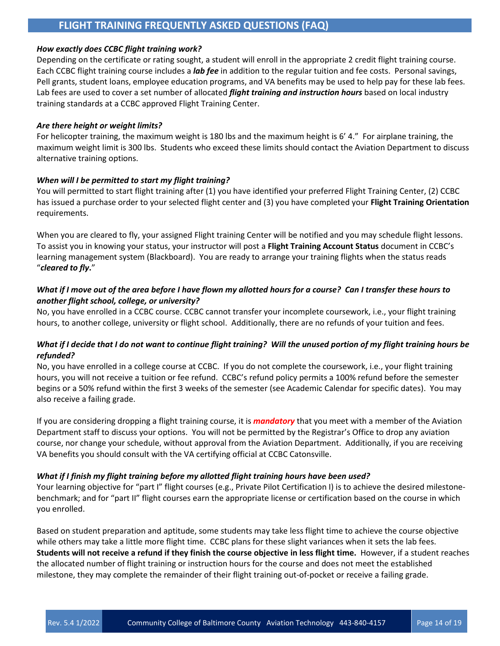# **FLIGHT TRAINING FREQUENTLY ASKED QUESTIONS (FAQ)**

#### *How exactly does CCBC flight training work?*

Depending on the certificate or rating sought, a student will enroll in the appropriate 2 credit flight training course. Each CCBC flight training course includes a *lab fee* in addition to the regular tuition and fee costs. Personal savings, Pell grants, student loans, employee education programs, and VA benefits may be used to help pay for these lab fees. Lab fees are used to cover a set number of allocated *flight training and instruction hours* based on local industry training standards at a CCBC approved Flight Training Center.

#### *Are there height or weight limits?*

For helicopter training, the maximum weight is 180 lbs and the maximum height is 6' 4." For airplane training, the maximum weight limit is 300 lbs. Students who exceed these limits should contact the Aviation Department to discuss alternative training options.

#### *When will I be permitted to start my flight training?*

You will permitted to start flight training after (1) you have identified your preferred Flight Training Center, (2) CCBC has issued a purchase order to your selected flight center and (3) you have completed your **Flight Training Orientation** requirements.

When you are cleared to fly, your assigned Flight training Center will be notified and you may schedule flight lessons. To assist you in knowing your status, your instructor will post a **Flight Training Account Status** document in CCBC's learning management system (Blackboard). You are ready to arrange your training flights when the status reads "*cleared to fly***.**"

### *What if I move out of the area before I have flown my allotted hours for a course? Can I transfer these hours to another flight school, college, or university?*

No, you have enrolled in a CCBC course. CCBC cannot transfer your incomplete coursework, i.e., your flight training hours, to another college, university or flight school. Additionally, there are no refunds of your tuition and fees.

### *What if I decide that I do not want to continue flight training? Will the unused portion of my flight training hours be refunded?*

No, you have enrolled in a college course at CCBC. If you do not complete the coursework, i.e., your flight training hours, you will not receive a tuition or fee refund. CCBC's refund policy permits a 100% refund before the semester begins or a 50% refund within the first 3 weeks of the semester (see Academic Calendar for specific dates). You may also receive a failing grade.

If you are considering dropping a flight training course, it is *mandatory* that you meet with a member of the Aviation Department staff to discuss your options. You will not be permitted by the Registrar's Office to drop any aviation course, nor change your schedule, without approval from the Aviation Department. Additionally, if you are receiving VA benefits you should consult with the VA certifying official at CCBC Catonsville.

#### *What if I finish my flight training before my allotted flight training hours have been used?*

Your learning objective for "part I" flight courses (e.g., Private Pilot Certification I) is to achieve the desired milestonebenchmark; and for "part II" flight courses earn the appropriate license or certification based on the course in which you enrolled.

Based on student preparation and aptitude, some students may take less flight time to achieve the course objective while others may take a little more flight time. CCBC plans for these slight variances when it sets the lab fees. **Students will not receive a refund if they finish the course objective in less flight time.** However, if a student reaches the allocated number of flight training or instruction hours for the course and does not meet the established milestone, they may complete the remainder of their flight training out-of-pocket or receive a failing grade.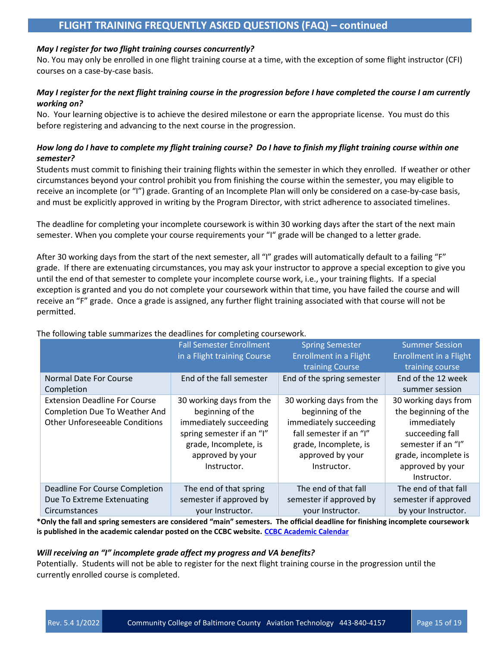# **FLIGHT TRAINING FREQUENTLY ASKED QUESTIONS (FAQ) – continued**

#### *May I register for two flight training courses concurrently?*

No. You may only be enrolled in one flight training course at a time, with the exception of some flight instructor (CFI) courses on a case-by-case basis.

#### *May I register for the next flight training course in the progression before I have completed the course I am currently working on?*

No. Your learning objective is to achieve the desired milestone or earn the appropriate license. You must do this before registering and advancing to the next course in the progression.

### *How long do I have to complete my flight training course? Do I have to finish my flight training course within one semester?*

Students must commit to finishing their training flights within the semester in which they enrolled. If weather or other circumstances beyond your control prohibit you from finishing the course within the semester, you may eligible to receive an incomplete (or "I") grade. Granting of an Incomplete Plan will only be considered on a case-by-case basis, and must be explicitly approved in writing by the Program Director, with strict adherence to associated timelines.

The deadline for completing your incomplete coursework is within 30 working days after the start of the next main semester. When you complete your course requirements your "I" grade will be changed to a letter grade.

After 30 working days from the start of the next semester, all "I" grades will automatically default to a failing "F" grade. If there are extenuating circumstances, you may ask your instructor to approve a special exception to give you until the end of that semester to complete your incomplete course work, i.e., your training flights. If a special exception is granted and you do not complete your coursework within that time, you have failed the course and will receive an "F" grade. Once a grade is assigned, any further flight training associated with that course will not be permitted.

|                                                                                                                                | <b>Fall Semester Enrollment</b> | <b>Spring Semester</b>     | <b>Summer Session</b>  |  |
|--------------------------------------------------------------------------------------------------------------------------------|---------------------------------|----------------------------|------------------------|--|
|                                                                                                                                | in a Flight training Course     | Enrollment in a Flight     | Enrollment in a Flight |  |
|                                                                                                                                |                                 | training Course            | training course        |  |
| Normal Date For Course                                                                                                         | End of the fall semester        | End of the spring semester | End of the 12 week     |  |
| Completion                                                                                                                     |                                 |                            | summer session         |  |
| <b>Extension Deadline For Course</b>                                                                                           | 30 working days from the        | 30 working days from the   | 30 working days from   |  |
| <b>Completion Due To Weather And</b>                                                                                           | beginning of the                | beginning of the           | the beginning of the   |  |
| <b>Other Unforeseeable Conditions</b>                                                                                          | immediately succeeding          | immediately succeeding     | immediately            |  |
|                                                                                                                                | spring semester if an "I"       | fall semester if an "I"    | succeeding fall        |  |
|                                                                                                                                | grade, Incomplete, is           | grade, Incomplete, is      | semester if an "I"     |  |
|                                                                                                                                | approved by your                | approved by your           | grade, incomplete is   |  |
|                                                                                                                                | Instructor.                     | Instructor.                | approved by your       |  |
|                                                                                                                                |                                 |                            | Instructor.            |  |
| Deadline For Course Completion                                                                                                 | The end of that spring          | The end of that fall       | The end of that fall   |  |
| Due To Extreme Extenuating                                                                                                     | semester if approved by         | semester if approved by    | semester if approved   |  |
| Circumstances                                                                                                                  | your Instructor.                | your Instructor.           | by your Instructor.    |  |
| *Only the fall and spring semesters are considered "main" semesters. The official deadline for finishing incomplete coursework |                                 |                            |                        |  |

#### The following table summarizes the deadlines for completing coursework.

**\*Only the fall and spring semesters are considered "main" semesters. The official deadline for finishing incomplete coursework is published in the academic calendar posted on the CCBC website. [CCBC Academic Calendar](http://www.ccbcmd.edu/Resources-for-Students/Registering-for-Classes/Academic-Calendar.aspx)**

#### *Will receiving an "I" incomplete grade affect my progress and VA benefits?*

Potentially. Students will not be able to register for the next flight training course in the progression until the currently enrolled course is completed.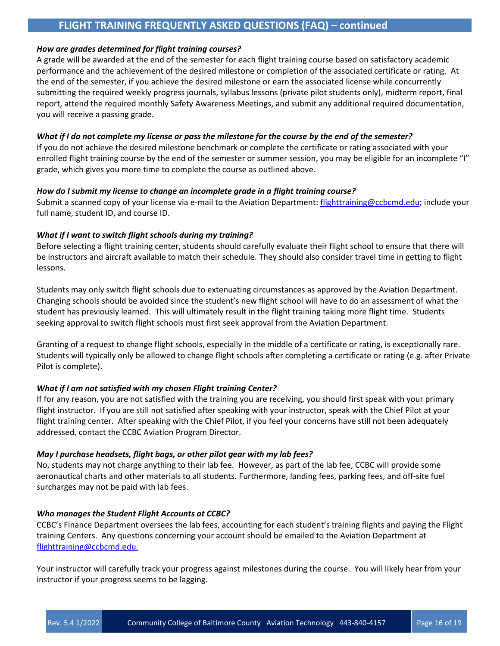# **FLIGHT TRAINING FREQUENTLY ASKED QUESTIONS (FAQ) – continued**

#### *How are grades determined for flight training courses?*

A grade will be awarded at the end of the semester for each flight training course based on satisfactory academic performance and the achievement of the desired milestone or completion of the associated certificate or rating. At the end of the semester, if you achieve the desired milestone or earn the associated license while concurrently submitting the required weekly progress journals, syllabus lessons (private pilot students only), midterm report, final report, attend the required monthly Safety Awareness Meetings, and submit any additional required documentation, you will receive a passing grade.

#### *What if I do not complete my license or pass the milestone for the course by the end of the semester?*

If you do not achieve the desired milestone benchmark or complete the certificate or rating associated with your enrolled flight training course by the end of the semester or summer session, you may be eligible for an incomplete "I" grade, which gives you more time to complete the course as outlined above.

#### *How do I submit my license to change an incomplete grade in a flight training course?*

Submit a scanned copy of your license via e-mail to the Aviation Department: [flighttraining@ccbcmd.edu;](mailto:flighttraining@ccbcmd.edu) include your full name, student ID, and course ID.

#### *What if I want to switch flight schools during my training?*

Before selecting a flight training center, students should carefully evaluate their flight school to ensure that there will be instructors and aircraft available to match their schedule. They should also consider travel time in getting to flight lessons.

Students may only switch flight schools due to extenuating circumstances as approved by the Aviation Department. Changing schools should be avoided since the student's new flight school will have to do an assessment of what the student has previously learned. This will ultimately result in the flight training taking more flight time. Students seeking approval to switch flight schools must first seek approval from the Aviation Department.

Granting of a request to change flight schools, especially in the middle of a certificate or rating, is exceptionally rare. Students will typically only be allowed to change flight schools after completing a certificate or rating (e.g. after Private Pilot is complete).

#### *What if I am not satisfied with my chosen Flight training Center?*

If for any reason, you are not satisfied with the training you are receiving, you should first speak with your primary flight instructor. If you are still not satisfied after speaking with your instructor, speak with the Chief Pilot at your flight training center. After speaking with the Chief Pilot, if you feel your concerns have still not been adequately addressed, contact the CCBC Aviation Program Director.

#### *May I purchase headsets, flight bags, or other pilot gear with my lab fees?*

No, students may not charge anything to their lab fee. However, as part of the lab fee, CCBC will provide some aeronautical charts and other materials to all students. Furthermore, landing fees, parking fees, and off-site fuel surcharges may not be paid with lab fees.

#### *Who manages the Student Flight Accounts at CCBC?*

CCBC's Finance Department oversees the lab fees, accounting for each student's training flights and paying the Flight training Centers. Any questions concerning your account should be emailed to the Aviation Department at [flighttraining@ccbcmd.edu.](mailto:flighttraining@ccbcmd.edu.) 

Your instructor will carefully track your progress against milestones during the course. You will likely hear from your instructor if your progress seems to be lagging.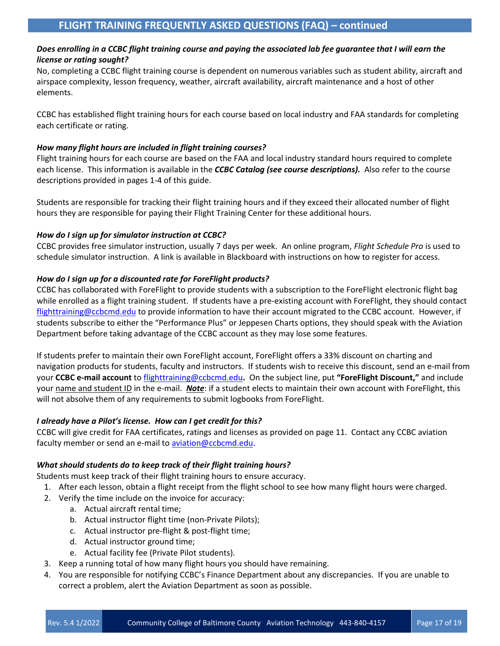### *Does enrolling in a CCBC flight training course and paying the associated lab fee guarantee that I will earn the license or rating sought?*

No, completing a CCBC flight training course is dependent on numerous variables such as student ability, aircraft and airspace complexity, lesson frequency, weather, aircraft availability, aircraft maintenance and a host of other elements.

CCBC has established flight training hours for each course based on local industry and FAA standards for completing each certificate or rating.

#### *How many flight hours are included in flight training courses?*

Flight training hours for each course are based on the FAA and local industry standard hours required to complete each license. This information is available in the *CCBC Catalog (see course descriptions).* Also refer to the course descriptions provided in pages 1-4 of this guide.

Students are responsible for tracking their flight training hours and if they exceed their allocated number of flight hours they are responsible for paying their Flight Training Center for these additional hours.

### *How do I sign up for simulator instruction at CCBC?*

CCBC provides free simulator instruction, usually 7 days per week. An online program, *Flight Schedule Pro* is used to schedule simulator instruction. A link is available in Blackboard with instructions on how to register for access.

# *How do I sign up for a discounted rate for ForeFlight products?*

CCBC has collaborated with ForeFlight to provide students with a subscription to the ForeFlight electronic flight bag while enrolled as a flight training student. If students have a pre-existing account with ForeFlight, they should contact [flighttraining@ccbcmd.edu](mailto:flighttraining@ccbcmd.edu) to provide information to have their account migrated to the CCBC account. However, if students subscribe to either the "Performance Plus" or Jeppesen Charts options, they should speak with the Aviation Department before taking advantage of the CCBC account as they may lose some features.

If students prefer to maintain their own ForeFlight account, ForeFlight offers a 33% discount on charting and navigation products for students, faculty and instructors. If students wish to receive this discount, send an e-mail from your **CCBC e-mail account** to [flighttraining@ccbcmd.edu](mailto:flighttraining@ccbcmd.edu?subject=ForeFlight%20Discount)**.** On the subject line, put **"ForeFlight Discount,"** and include your name and student ID in the e-mail. *Note*: if a student elects to maintain their own account with ForeFlight, this will not absolve them of any requirements to submit logbooks from ForeFlight.

# *I already have a Pilot's license. How can I get credit for this?*

CCBC will give credit for FAA certificates, ratings and licenses as provided on page 11. Contact any CCBC aviation faculty member or send an e-mail to [aviation@ccbcmd.edu.](mailto:aviation@ccbcmd.edu?subject=Credit%20for%20Pilot%20Certificate%20or%20Rating)

#### *What should students do to keep track of their flight training hours?*

Students must keep track of their flight training hours to ensure accuracy.

- 1. After each lesson, obtain a flight receipt from the flight school to see how many flight hours were charged.
- 2. Verify the time include on the invoice for accuracy:
	- a. Actual aircraft rental time;
	- b. Actual instructor flight time (non-Private Pilots);
	- c. Actual instructor pre-flight & post-flight time;
	- d. Actual instructor ground time;
	- e. Actual facility fee (Private Pilot students).
- 3. Keep a running total of how many flight hours you should have remaining.
- 4. You are responsible for notifying CCBC's Finance Department about any discrepancies. If you are unable to correct a problem, alert the Aviation Department as soon as possible.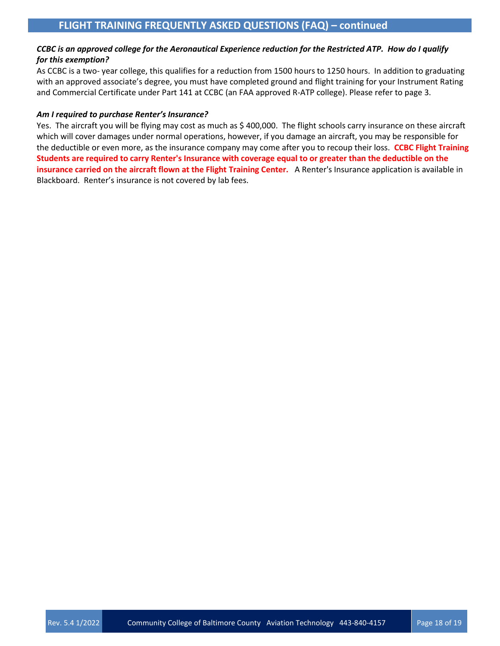### *CCBC is an approved college for the Aeronautical Experience reduction for the Restricted ATP. How do I qualify for this exemption?*

As CCBC is a two- year college, this qualifies for a reduction from 1500 hours to 1250 hours. In addition to graduating with an approved associate's degree, you must have completed ground and flight training for your Instrument Rating and Commercial Certificate under Part 141 at CCBC (an FAA approved R-ATP college). Please refer to page 3.

#### *Am I required to purchase Renter's Insurance?*

Yes. The aircraft you will be flying may cost as much as \$400,000. The flight schools carry insurance on these aircraft which will cover damages under normal operations, however, if you damage an aircraft, you may be responsible for the deductible or even more, as the insurance company may come after you to recoup their loss. **CCBC Flight Training Students are required to carry Renter's Insurance with coverage equal to or greater than the deductible on the insurance carried on the aircraft flown at the Flight Training Center.** A Renter's Insurance application is available in Blackboard. Renter's insurance is not covered by lab fees.